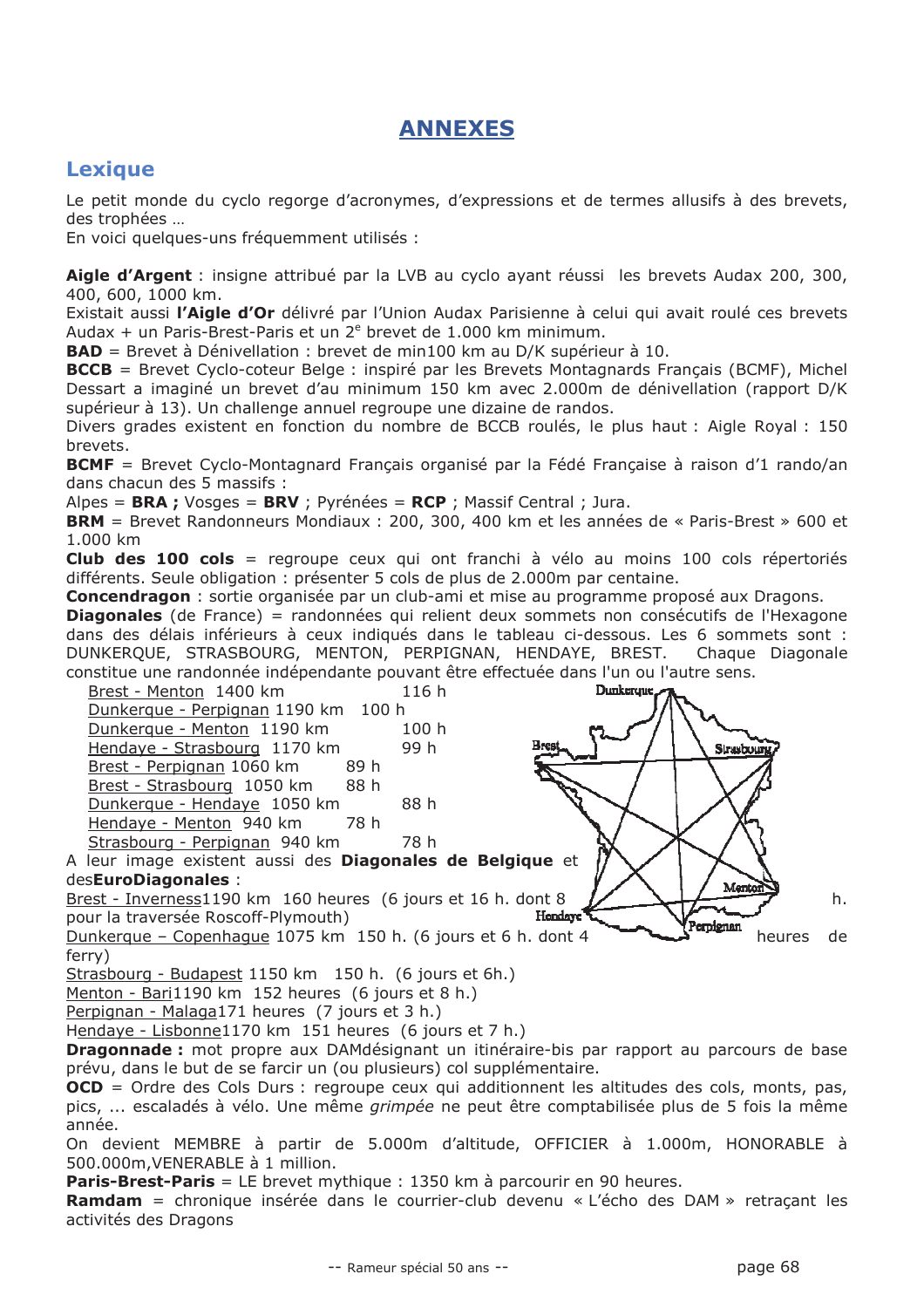## **ANNEXES**

## **Lexique**

Le petit monde du cyclo regorge d'acronymes, d'expressions et de termes allusifs à des brevets, des trophées ...

En voici quelques-uns fréquemment utilisés :

Aigle d'Argent : insigne attribué par la LVB au cyclo ayant réussi les brevets Audax 200, 300, 400, 600, 1000 km.

Existait aussi l'Aigle d'Or délivré par l'Union Audax Parisienne à celui qui avait roulé ces brevets Audax + un Paris-Brest-Paris et un 2<sup>e</sup> brevet de 1.000 km minimum.

**BAD** = Brevet à Dénivellation : brevet de min100 km au D/K supérieur à 10.

**BCCB** = Brevet Cyclo-coteur Belge : inspiré par les Brevets Montagnards Français (BCMF), Michel Dessart a imaginé un brevet d'au minimum 150 km avec 2.000m de dénivellation (rapport D/K supérieur à 13). Un challenge annuel regroupe une dizaine de randos.

Divers grades existent en fonction du nombre de BCCB roulés, le plus haut : Aigle Royal : 150 brevets.

**BCMF** = Brevet Cyclo-Montagnard Français organisé par la Fédé Française à raison d'1 rando/an dans chacun des 5 massifs :

Alpes = BRA ; Vosges = BRV ; Pyrénées = RCP ; Massif Central ; Jura.

BRM = Brevet Randonneurs Mondiaux: 200, 300, 400 km et les années de « Paris-Brest » 600 et 1.000 km

Club des 100 cols = regroupe ceux qui ont franchi à vélo au moins 100 cols répertoriés différents. Seule obligation : présenter 5 cols de plus de 2.000m par centaine.

**Concendragon**: sortie organisée par un club-ami et mise au programme proposé aux Dragons.

**Diagonales** (de France) = randonnées qui relient deux sommets non consécutifs de l'Hexagone dans des délais inférieurs à ceux indiqués dans le tableau ci-dessous. Les 6 sommets sont : DUNKERQUE, STRASBOURG, MENTON, PERPIGNAN, HENDAYE, BREST. Chaque Diagonale constitue une randonnée indépendante pouvant être effectuée dans l'un ou l'autre sens.

| Brest - Menton 1400 km                                        | 116h          | Dunkergue. |     |
|---------------------------------------------------------------|---------------|------------|-----|
| Dunkerque - Perpignan 1190 km 100 h                           |               |            |     |
| Dunkerque - Menton 1190 km                                    | 100h          |            |     |
| Hendaye - Strasbourg 1170 km                                  | Brest<br>99 h | Strebour   |     |
| Brest - Perpignan 1060 km<br>89 h                             |               |            |     |
| Brest - Strasbourg 1050 km 88 h                               |               |            |     |
| Dunkerque - Hendaye 1050 km                                   | 88 h          |            |     |
| Hendaye - Menton 940 km<br>78 h                               |               |            |     |
| Strasbourg - Perpignan 940 km                                 | 78 h          |            |     |
| A leur image existent aussi des Diagonales de Belgique et     |               |            |     |
| desEuroDiagonales :                                           |               | Menton     |     |
| Brest - Inverness1190 km 160 heures (6 jours et 16 h. dont 8  |               |            | h.  |
| pour la traversée Roscoff-Plymouth)                           | Hendave'      | Perpignan  |     |
| Dunkerque – Copenhaque 1075 km 150 h. (6 jours et 6 h. dont 4 |               | heures     | de. |

D ferry)

Strasbourg - Budapest 1150 km 150 h. (6 jours et 6h.)

Menton - Bari1190 km 152 heures (6 jours et 8 h.)

Perpignan - Malaga171 heures (7 jours et 3 h.)

Hendaye - Lisbonne1170 km 151 heures (6 jours et 7 h.)

**Dragonnade :** mot propre aux DAMdésignant un itinéraire-bis par rapport au parcours de base prévu, dans le but de se farcir un (ou plusieurs) col supplémentaire.

**OCD** = Ordre des Cols Durs : regroupe ceux qui additionnent les altitudes des cols, monts, pas, pics, ... escaladés à vélo. Une même *grimpée* ne peut être comptabilisée plus de 5 fois la même année.

On devient MEMBRE à partir de 5.000m d'altitude, OFFICIER à 1.000m, HONORABLE à 500.000m.VENERABLE à 1 million.

**Paris-Brest-Paris** = LE brevet mythique : 1350 km à parcourir en 90 heures.

**Ramdam** = chronique insérée dans le courrier-club devenu « L'écho des DAM » retraçant les activités des Dragons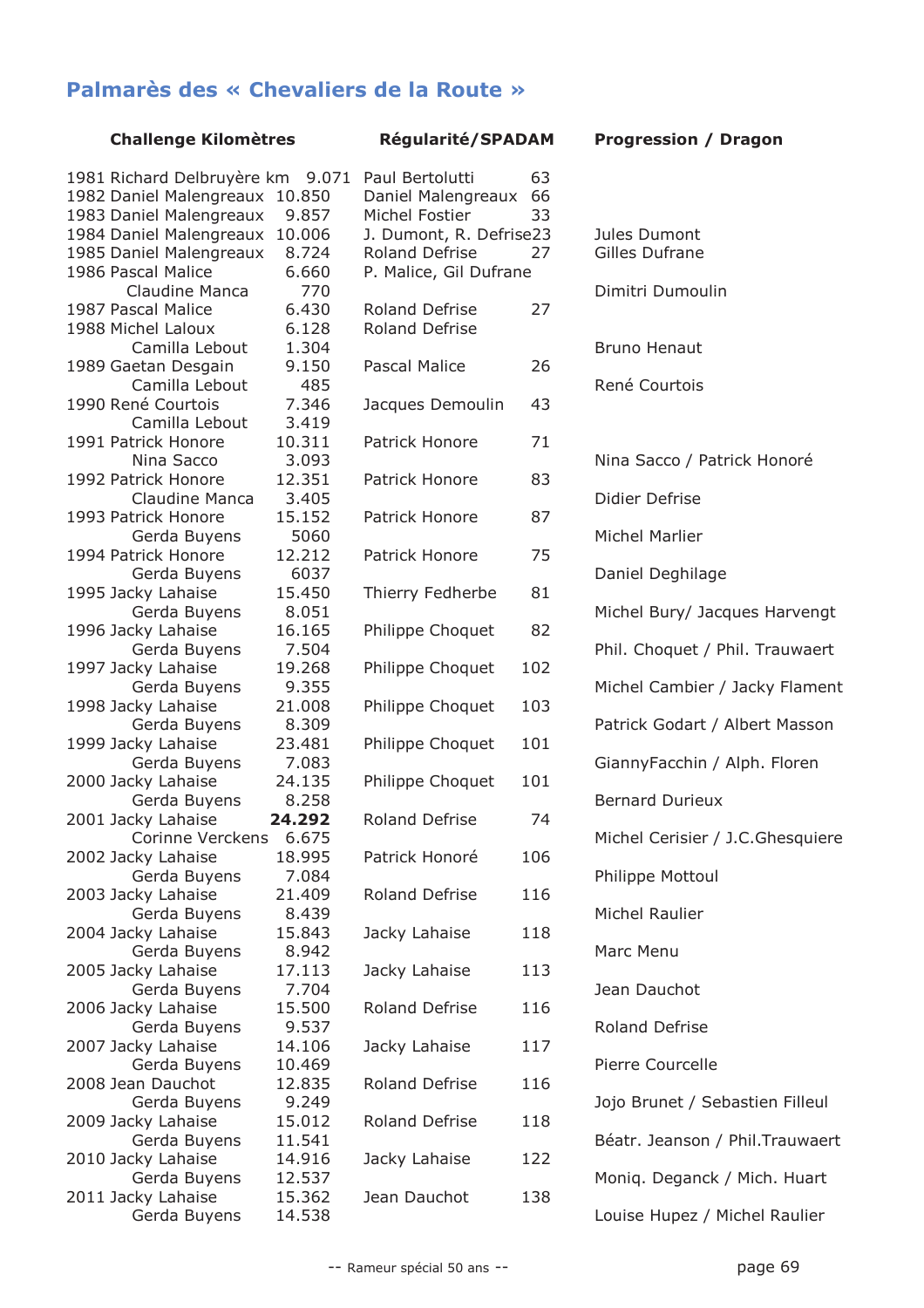## Palmarès des « Chevaliers de la Route »

## **Challenge Kilomètres**

| <b>Régularité/SPADAM</b> |  |
|--------------------------|--|
|--------------------------|--|

63

| 1981 Richard Delbruyère km<br>1982 Daniel Malengreaux<br>1983 Daniel Malengreaux | 9.071<br>10.850<br>9.857 | Paul Bertolutti<br>Daniel Malengr<br>Michel Fostier |
|----------------------------------------------------------------------------------|--------------------------|-----------------------------------------------------|
| 1984 Daniel Malengreaux<br>1985 Daniel Malengreaux                               | 10.006<br>8.724          | J. Dumont, R. I<br><b>Roland Defrise</b>            |
| 1986 Pascal Malice<br>Claudine Manca<br>1987 Pascal Malice                       | 6.660<br>770<br>6.430    | P. Malice, Gil D<br><b>Roland Defrise</b>           |
| 1988 Michel Laloux<br>Camilla Lebout                                             | 6.128<br>1.304           | <b>Roland Defrise</b>                               |
| 1989 Gaetan Desgain<br>Camilla Lebout                                            | 9.150<br>485             | <b>Pascal Malice</b>                                |
| 1990 René Courtois<br>Camilla Lebout                                             | 7.346<br>3.419           | Jacques Demou                                       |
| 1991 Patrick Honore<br>Nina Sacco                                                | 10.311<br>3.093          | Patrick Honore                                      |
| 1992 Patrick Honore<br>Claudine Manca                                            | 12.351<br>3.405          | Patrick Honore                                      |
| 1993 Patrick Honore<br>Gerda Buyens                                              | 15.152<br>5060           | Patrick Honore                                      |
| 1994 Patrick Honore<br>Gerda Buyens                                              | 12.212<br>6037           | Patrick Honore                                      |
| 1995 Jacky Lahaise<br>Gerda Buyens                                               | 15.450<br>8.051          | <b>Thierry Fedherl</b>                              |
| 1996 Jacky Lahaise<br>Gerda Buyens                                               | 16.165<br>7.504          | Philippe Choque                                     |
| 1997 Jacky Lahaise<br>Gerda Buyens                                               | 19.268<br>9.355          | Philippe Choque                                     |
| 1998 Jacky Lahaise<br>Gerda Buyens                                               | 21.008<br>8.309          | Philippe Choque                                     |
| 1999 Jacky Lahaise<br>Gerda Buyens                                               | 23.481<br>7.083          | Philippe Choque                                     |
| 2000 Jacky Lahaise<br>Gerda Buyens                                               | 24.135<br>8.258          | Philippe Choque                                     |
| 2001 Jacky Lahaise<br>Corinne Verckens                                           | 24.292<br>6.675          | <b>Roland Defrise</b>                               |
| 2002 Jacky Lahaise<br>Gerda Buyens                                               | 18.995<br>7.084          | Patrick Honoré                                      |
| 2003 Jacky Lahaise<br>Gerda Buyens                                               | 21.409<br>8.439          | <b>Roland Defrise</b>                               |
| 2004 Jacky Lahaise<br>Gerda Buyens                                               | 15.843<br>8.942          | Jacky Lahaise                                       |
| 2005 Jacky Lahaise<br>Gerda Buyens                                               | 17.113<br>7.704          | Jacky Lahaise                                       |
| 2006 Jacky Lahaise<br>Gerda Buyens                                               | 15.500<br>9.537          | <b>Roland Defrise</b>                               |
| 2007 Jacky Lahaise<br>Gerda Buyens                                               | 14.106<br>10.469         | Jacky Lahaise                                       |
| 2008 Jean Dauchot<br>Gerda Buyens                                                | 12.835<br>9.249          | <b>Roland Defrise</b>                               |
| 2009 Jacky Lahaise<br>Gerda Buyens                                               | 15.012<br>11.541         | <b>Roland Defrise</b>                               |
| 2010 Jacky Lahaise<br>Gerda Buyens                                               | 14.916<br>12.537         | Jacky Lahaise                                       |
| 2011 Jacky Lahaise<br>Gerda Buyens                                               | 15.362<br>14.538         | Jean Dauchot                                        |

| Daniel Malengreaux<br>66<br>Michel Fostier<br>33<br>J. Dumont, R. Defrise23<br>Roland Defrise<br>27<br>P. Malice, Gil Dufrane |     |
|-------------------------------------------------------------------------------------------------------------------------------|-----|
| <b>Roland Defrise</b><br><b>Roland Defrise</b>                                                                                | 27  |
| <b>Pascal Malice</b>                                                                                                          | 26  |
| Jacques Demoulin                                                                                                              | 43  |
| Patrick Honore                                                                                                                | 71  |
| Patrick Honore                                                                                                                | 83  |
| Patrick Honore                                                                                                                | 87  |
| Patrick Honore                                                                                                                | 75  |
| Thierry Fedherbe                                                                                                              | 81  |
| Philippe Choquet                                                                                                              | 82  |
| Philippe Choquet                                                                                                              | 102 |
| Philippe Choquet                                                                                                              | 103 |
| Philippe Choquet                                                                                                              | 101 |
| Philippe Choquet                                                                                                              | 101 |
| <b>Roland Defrise</b>                                                                                                         | 74  |
| Patrick Honoré                                                                                                                | 106 |
| <b>Roland Defrise</b>                                                                                                         | 116 |
| Jacky Lahaise                                                                                                                 | 118 |
| Jacky Lahaise                                                                                                                 | 113 |
| <b>Roland Defrise</b>                                                                                                         | 116 |
| Jacky Lahaise                                                                                                                 | 117 |
| <b>Roland Defrise</b>                                                                                                         | 116 |
| <b>Roland Defrise</b>                                                                                                         | 118 |
| Jacky Lahaise                                                                                                                 | 122 |
| Jean Dauchot                                                                                                                  | 138 |
|                                                                                                                               |     |

| <b>Progression / Dragon</b>           |
|---------------------------------------|
|                                       |
| Jules Dumont<br><b>Gilles Dufrane</b> |
| Dimitri Dumoulin                      |
| <b>Bruno Henaut</b>                   |
| René Courtois                         |
|                                       |
| Nina Sacco / Patrick Honoré           |
| Didier Defrise                        |
| Michel Marlier                        |
| Daniel Deghilage                      |
| Michel Bury/ Jacques Harvengt         |
| Phil. Choquet / Phil. Trauwaert       |
| Michel Cambier / Jacky Flament        |
| Patrick Godart / Albert Masson        |
| GiannyFacchin / Alph. Floren          |
| <b>Bernard Durieux</b>                |
| Michel Cerisier / J.C.Ghesquiere      |
| Philippe Mottoul                      |
| Michel Raulier                        |
| Marc Menu                             |
| Jean Dauchot                          |
| <b>Roland Defrise</b>                 |
| Pierre Courcelle                      |
| Jojo Brunet / Sebastien Filleul       |
| Béatr. Jeanson / Phil. Trauwaert      |
| Moniq. Deganck / Mich. Huart          |
|                                       |

Louise Hupez / Michel Raulier